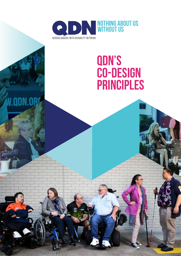

ODN.O

# **QDN's CO-DESIGN PRINCIPLES**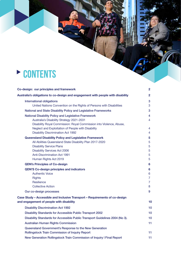# **P** CONTENTS

| Co-design: our principles and framework                                                                                                                                                                                                                             | $\mathbf{2}$                                    |
|---------------------------------------------------------------------------------------------------------------------------------------------------------------------------------------------------------------------------------------------------------------------|-------------------------------------------------|
| Australia's obligations to co-design and engagement with people with disability                                                                                                                                                                                     | $\overline{2}$                                  |
| <b>International obligations</b>                                                                                                                                                                                                                                    | 3                                               |
| United Nations Convention on the Rights of Persons with Disabilities                                                                                                                                                                                                | 3                                               |
| National and State Disability Policy and Legislative Frameworks                                                                                                                                                                                                     | 3                                               |
| <b>National Disability Policy and Legislative Framework</b><br>Australia's Disability Strategy 2021-2031<br>Disability Royal Commission: Royal Commission into Violence, Abuse,                                                                                     | $\overline{4}$<br>4                             |
| Neglect and Exploitation of People with Disability<br><b>Disability Discrimination Act 1992</b>                                                                                                                                                                     | $\overline{4}$<br>4                             |
| <b>Queensland Disability Policy and Legislative Framework</b><br>All Abilities Queensland State Disability Plan 2017-2020<br><b>Disability Service Plans</b><br><b>Disability Services Act 2006</b><br><b>Anti-Discrimination Act 1991</b><br>Human Rights Act 2019 | 5<br>5<br>5<br>5<br>5<br>5                      |
| <b>QDN's Principles of Co-design</b>                                                                                                                                                                                                                                | 6                                               |
| <b>QDN'S Co-design principles and indicators</b><br><b>Authentic Voice</b><br><b>Rights</b><br>Resilience<br><b>Collective Action</b>                                                                                                                               | 6<br>6<br>$\overline{7}$<br>$\overline{7}$<br>8 |
| Our co-design processes                                                                                                                                                                                                                                             | 9                                               |
| Case Study - Accessible and Inclusive Transport - Requirements of co-design<br>and engagement of people with disability                                                                                                                                             | 10                                              |
| <b>Disability Discrimination Act 1992</b>                                                                                                                                                                                                                           | 10                                              |
| <b>Disability Standards for Accessible Public Transport 2002</b>                                                                                                                                                                                                    | 10                                              |
| Disability Standards for Accessible Public Transport Guidelines 2004 (No 3).                                                                                                                                                                                        | 10                                              |
| <b>Australian Human Rights Commission</b>                                                                                                                                                                                                                           | 11                                              |
| Queensland Government's Response to the New Generation<br><b>Rollingstock Train Commission of Inquiry Report</b>                                                                                                                                                    | 11                                              |
| New Generation Rollingstock Train Commission of Inquiry   Final Report                                                                                                                                                                                              | 11                                              |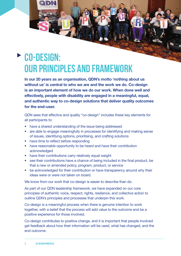# **Co-design: our principles and framework**

**In our 20 years as an organisation, QDN's motto 'nothing about us without us' is central to who we are and the work we do. Co-design is an important element of how we do our work. When done well and effectively, people with disability are engaged in a meaningful, equal, and authentic way to co-design solutions that deliver quality outcomes for the end–user.** 

QDN sees that effective and quality "co-design" includes these key elements for all participants to:

- have a shared understanding of the issue being addressed
- are able to engage meaningfully in processes for identifying and making sense of issues, identifying options, prioritising, and crafting solutions
- have time to reflect before responding
- have reasonable opportunity to be heard and have their contribution acknowledged
- have their contributions carry relatively equal weight
- see their contributions have a chance of being included in the final product, be that a new or amended policy, program, product, or service
- be acknowledged for their contribution or have transparency around why their ideas were or were not taken on board.

We know from our work that co-design is easier to describe than do.

As part of our QDN leadership framework, we have expanded on our core principles of authentic voice, respect, rights, resilience, and collective action to outline QDN's principles and processes that underpin this work.

Co-design is a meaningful process when there is genuine intention to work together, with a belief that the process will add value to the outcome and be a positive experience for those involved.

Co-design contributes to positive change, and it is important that people involved get feedback about how their information will be used, what has changed, and the end outcome.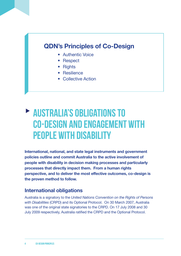# **QDN's Principles of Co-Design**

- Authentic Voice
- Respect
- Rights
- Resilience
- Collective Action

# **Australia's obligations to co-design and engagement with people with disability**

**International, national, and state legal instruments and government policies outline and commit Australia to the active involvement of people with disability in decision making processes and particularly processes that directly impact them. From a human rights perspective, and to deliver the most effective outcomes, co-design is the proven method to follow.** 

## **International obligations**

Australia is a signatory to the *United Nations Convention on the Rights of Persons with Disabilities* (CRPD) and its Optional Protocol. On 30 March 2007, Australia was one of the original state signatories to the CRPD. On 17 July 2008 and 30 July 2009 respectively, Australia ratified the CRPD and the Optional Protocol.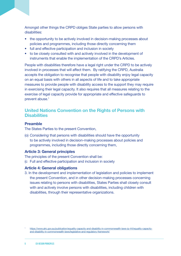Amongst other things the CRPD obliges State parties to allow persons with disabilities:

- the opportunity to be actively involved in decision-making processes about policies and programmes, including those directly concerning them
- full and effective participation and inclusion in society
- to be closely consulted with and actively involved in the development of instruments that enable the implementation of the CRPD's Articles.

People with disabilities therefore have a legal right under the CRPD to be actively involved in processes that will affect them. By ratifying the CRPD, Australia accepts the obligation to recognise that people with disability enjoy legal capacity on an equal basis with others in all aspects of life and to take appropriate measures to provide people with disability access to the support they may require in exercising their legal capacity. It also requires that all measures relating to the exercise of legal capacity provide for appropriate and effective safeguards to prevent abuse.<sup>1</sup>

### **United Nations Convention on the Rights of Persons with Disabilities**

#### **Preamble**

The States Parties to the present Convention,

(o) *Considering* that persons with disabilities should have the opportunity to be actively involved in decision-making processes about policies and programmes, including those directly concerning them,

#### **Article 3: General principles**

The principles of the present Convention shall be:

(c Full and effective participation and inclusion in society

#### **Article 4: General obligations**

3. In the development and implementation of legislation and policies to implement the present Convention, and in other decision-making processes concerning issues relating to persons with disabilities, States Parties shall closely consult with and actively involve persons with disabilities, including children with disabilities, through their representative organizations.

<sup>1</sup> [https://www.alrc.gov.au/publication/equality-capacity-and-disability-in-commonwealth-laws-ip-44/equality-capacity](https://www.alrc.gov.au/publication/equality-capacity-and-disability-in-commonwealth-laws-ip-44/equality-capacity-and-disability-in-commonwealth-laws/legislative-and-regulatory-framework/)[and-disability-in-commonwealth-laws/legislative-and-regulatory-framework/](https://www.alrc.gov.au/publication/equality-capacity-and-disability-in-commonwealth-laws-ip-44/equality-capacity-and-disability-in-commonwealth-laws/legislative-and-regulatory-framework/)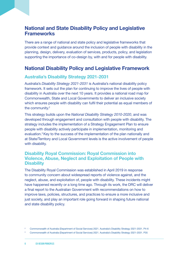## **National and State Disability Policy and Legislative Frameworks**

There are a range of national and state policy and legislative frameworks that provide context and guidance around the inclusion of people with disability in the planning, design, delivery, evaluation of services, products, policy, and legislation supporting the importance of co-design by, with and for people with disability.

## **National Disability Policy and Legislative Framework**

### **Australia's Disability Strategy 2021-2031**

Australia's *Disability Strategy 2021-2031* is Australia's national disability policy framework. It sets out the plan for continuing to improve the lives of people with disability in Australia over the next 10 years. It provides a national road map for Commonwealth, State and Local Governments to deliver an inclusive society which ensures people with disability can fulfil their potential as equal members of the community.2

This strategy builds upon the *National Disability Strategy 2010-2020*, and was developed through engagement and consultation with people with disability. The strategy includes the implementation of a Strategy Engagement Plan to ensure people with disability actively participate in implementation, monitoring and evaluation.3 Key to the success of the implementation of the plan nationally and at State/Territory and Local Government levels is the active involvement of people with disability.

#### **Disability Royal Commission: Royal Commission into Violence, Abuse, Neglect and Exploitation of People with Disability**

The Disability Royal Commission was established in April 2019 in response to community concern about widespread reports of violence against, and the neglect, abuse, and exploitation of, people with disability. These incidents might have happened recently or a long time ago. Through its work, the DRC will deliver a final report to the Australian Government with recommendations on how to improve laws, policies, structures, and practices to ensure a more inclusive and just society, and play an important role going forward in shaping future national and state disability policy.

<sup>2</sup> Commonwealth of Australia (Department of Social Services) 2021. Australia's Disability Strategy 2021-2031. P4-6

<sup>3</sup> Commonwealth of Australia (Department of Social Services) 2021. Australia's Disability Strategy 2021-2031. P35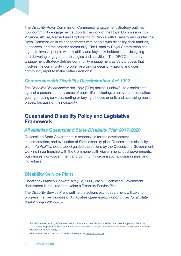The Disability Royal Commission Community Engagement Strategy outlines how community engagement supports the work of the Royal Commission into Violence, Abuse, Neglect and Exploitation of People with Disability and guides the Royal Commission in its engagements with people with disability, their families, supporters, and the broader community. The Disability Royal Commission has a goal to involve people with disability and key stakeholders in co-designing and delivering engagement strategies and activities.<sup>4</sup> The DRC Community Engagement Strategy defines community engagement as 'Any process that involves the community in problem-solving or decision-making and uses community input to make better decisions'.5

### *Commonwealth Disability Discrimination Act 1992*

The *Disability Discrimination Act 1992* (DDA) makes it unlawful to discriminate against a person, in many areas of public life, including: employment, education, getting or using services, renting or buying a house or unit, and accessing public places, because of their disability.

## **Queensland Disability Policy and Legislative Framework**

### *All Abilities Queensland State Disability Plan 2017-2020*

Queensland State Government is responsible for the development, implementation, and evaluation of State disability plan. Queensland's disability plan – *All Abilities Queensland* guided the actions by the Queensland Government, working in partnership with the Commonwealth Government, local governments, businesses, non-government and community organisations, communities, and individuals.

## **Disability Service Plans**

Under the *Disability Services Act* (Qld) *2006*, each Queensland Government department is required to develop a Disability Service Plan.

The Disability Service Plans outline the actions each department will take to progress the five priorities of *All Abilities Queensland: opportunities for all state disability plan 2017–2020*.

<sup>4</sup> Royal Commission: Royal Commission into Violence, Abuse, Neglect and Exploitation of People with Disability Community Engagement Strategy [https://disability.royalcommission.gov.au/system/files/2020-09/Community%20](https://disability.royalcommission.gov.au/system/files/2020-09/Community%20Engagement%20Strategy.pdf) [Engagement%20Strategy.pdf](https://disability.royalcommission.gov.au/system/files/2020-09/Community%20Engagement%20Strategy.pdf)

The International Association for Public Participation, [www.iap2.org.au](http://www.iap2.org.au)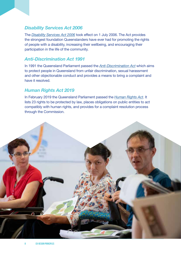### *Disability Services Act 2006*

The *[Disability Services Act 2006](https://www.legislation.qld.gov.au/view/html/inforce/current/act-2006-012)* took effect on 1 July 2006. The Act provides the strongest foundation Queenslanders have ever had for promoting the rights of people with a disability, increasing their wellbeing, and encouraging their participation in the life of the community.

#### *Anti-Discrimination Act 1991*

In 1991 the Queensland Parliament passed the *[Anti-Discrimination Act](https://www.legislation.qld.gov.au/view/html/inforce/current/act-2019-005)* which aims to protect people in Queensland from unfair discrimination, sexual harassment and other objectionable conduct and provides a means to bring a complaint and have it resolved.

### *Human Rights Act 2019*

In February 2019 the Queensland Parliament passed the *[Human Rights Act](https://www.legislation.qld.gov.au/view/html/inforce/current/act-2019-005)*. It lists 23 rights to be protected by law, places obligations on public entities to act compatibly with human rights, and provides for a complaint resolution process through the Commission.

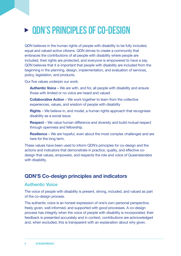# **QDN's Principles of Co-design**

QDN believes in the human rights of people with disability to be fully included, equal and valued active citizens. QDN strives to create a community that embraces the contributions of all people with disability where people are included, their rights are protected, and everyone is empowered to have a say. QDN believes that it is important that people with disability are included from the beginning in the planning, design, implementation, and evaluation of services, policy, legislation, and products.

Our five values underpin our work.

**Authentic Voice** – We are with, and for, all people with disability and ensure those with limited or no voice are heard and valued

**Collaborative Action** – We work together to learn from the collective experiences, values, and wisdom of people with disability

**Rights** – We believe in, and model, a human rights approach that recognises disability as a social issue.

**Respect** – We value human difference and diversity and build mutual respect through openness and fellowship.

**Resilience** – We are hopeful, even about the most complex challenges and are here for the long term.

These values have been used to inform QDN's principles for co-design and the actions and indicators that demonstrate in practice, quality, and effective codesign that values, empowers, and respects the role and voice of Queenslanders with disability.

# **QDN'S Co-design principles and indicators**

### **Authentic Voice**

The voice of people with disability is present, strong, included, and valued as part of the co-design process.

The authentic voice is an honest expression of one's own personal perspective, freely given, well informed, and supported with good processes. A co-design process has integrity when the voice of people with disability is incorporated, their feedback is presented accurately and in context, contributions are acknowledged and, when excluded, this is transparent with an explanation about why given.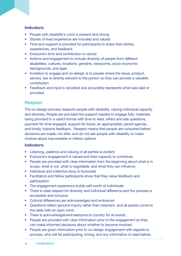#### **Indicators:**

- People with disability's voice is present and strong
- Stories of lived experience are included and valued
- Time and support is provided for participants to share their stories, experiences, and feedback
- Everyone's time and contribution is valued
- Actions and engagement to include diversity of people from different disabilities, cultures, locations, genders, viewpoints, socio-economic backgrounds, and ages
- Invitation to engage and co-design is to people where the issue, product, service, law is directly relevant to the person so they can provide a valuable contribution
- Feedback and input is recorded and accurately represents what was said or provided.

### **Respect**

The co-design process respects people with disability, valuing individual capacity and diversity. People are provided the support needed to engage fully, materials being provided in a useful format with time to read, reflect and ask questions, payment for time engaged, support for travel, an appropriately paced agenda, and timely, fulsome feedback. Respect means that people are consulted before decisions are made, not after, and do not ask people with disability to make choices about inaccessible or inferior options.

#### **Indicators:**

- Listening, patience and valuing of all parties is evident
- Everyone's engagement is valued and their capacity to contribute
- People are provided with clear information from the beginning about what is in scope, what is not, what is negotiable, and what they can influence
- Individual and collective story is honoured
- Facilitators and fellow participants show that they value feedback and participation
- The engagement experience builds self-worth of individuals
- There is clear respect for diversity and individual difference and the process is accessible and inclusive
- Cultural differences are acknowledged and embraced
- Questions reflect genuine inquiry rather than tokenism, and all parties come to the table with an open mind
- There is acknowledgement/welcome to country for all events
- People are provided with clear information prior to the engagement so they can make informed decisions about whether to become involved
- People are given information prior to co-design engagement with regards to process, who will be participating, timing, and any information to read before.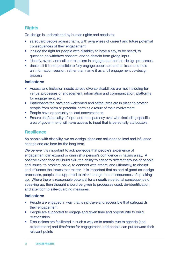## **Rights**

Co-design is underpinned by human rights and needs to:

- safeguard people against harm, with awareness of current and future potential consequences of their engagement.
- include the right for people with disability to have a say, to be heard, to question, to withdraw consent, and to abstain from giving input.
- identify, avoid, and call out tokenism in engagement and co-design processes.
- declare if it is not possible to fully engage people around an issue and hold an information session, rather than name it as a full engagement co-design process

#### **Indicators:**

- Access and inclusion needs across diverse disabilities are met including for venue, processes of engagement, information and communication, platforms for engagement, etc
- Participants feel safe and welcomed and safeguards are in place to protect people from harm or potential harm as a result of their involvement
- People have opportunity to lead conversations
- Ensure confidentiality of input and transparency over who (including specific area of government) will have access to input that is personally attributable.

### **Resilience**

As people with disability, we co-design ideas and solutions to lead and influence change and are here for the long term.

We believe it is important to acknowledge that people's experience of engagement can expand or diminish a person's confidence in having a say. A positive experience will build skill, the ability to adapt to different groups of people and issues, to problem-solve, to connect with others, and ultimately, to disrupt and influence the issues that matter. It is important that as part of good co-design processes, people are supported to think through the consequences of speaking up. Where there is reasonable potential for a negative personal consequence of speaking up, then thought should be given to processes used, de-identification, and attention to safe-guarding measures.

#### **Indicators:**

- People are engaged in way that is inclusive and accessible that safeguards their engagement
- People are supported to engage and given time and opportunity to build relationships
- Discussions are facilitated in such a way as to remain true to agenda (and expectations) and timeframe for engagement, and people can put forward their relevant points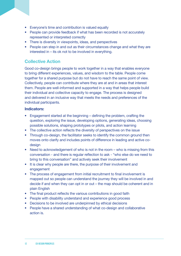- Everyone's time and contribution is valued equally
- People can provide feedback if what has been recorded is not accurately represented or interpreted correctly
- There is diversity in viewpoints, ideas, and perspectives
- People can step in and out as their circumstances change and what they are interested in – its ok not to be involved in everything.

## **Collective Action**

Good co-design brings people to work together in a way that enables everyone to bring different experiences, values, and wisdom to the table. People come together for a shared purpose but do not have to reach the same point of view. Collectively, people can contribute where they are at and in areas that interest them. People are well-informed and supported in a way that helps people build their individual and collective capacity to engage. The process is designed and delivered in an inclusive way that meets the needs and preferences of the individual participants.

#### **Indicators:**

- Engagement started at the beginning defining the problem, crafting the question, exploring the issue, developing options, generating ideas, choosing possible solutions, shaping prototypes or pilots, and action learning
- The collective action reflects the diversity of perspectives on the issue
- Through co-design, the facilitator seeks to identify the common ground then moves onto clarify and includes points of difference in leading and active codesign
- Need to acknowledgement of who is not in the room who is missing from this conversation - and there is regular reflection to ask - "who else do we need to bring to this conversation" and actively seek their involvement
- It is clear why people are there, the purpose of their involvement and engagement
- The process of engagement from initial recruitment to final involvement is mapped out so people can understand the journey they will be involved in and decide if and when they can opt in or out – the map should be coherent and in plain English
- The final product reflects the various contributions in good faith
- People with disability understand and experience good process
- Decisions to be involved are underpinned by ethical decisions
- People have a shared understanding of what co-design and collaborative action is.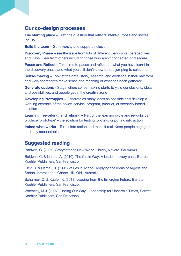## **Our co-design processes**

**The starting place –** Craft the question that reflects intent/purpose and invites inquiry

**Build the team –** Get diversity and support inclusion

**Discovery Phase –** see the issue from lots of different viewpoints, perspectives, and ways. Hear from others including those who aren't connected or disagree.

**Pause and Reflect –** Take time to pause and reflect on what you have learnt in the discovery phase and what you still don't know before jumping to solutions

**Sense-making –** Look at the data, story, research, and evidence in their raw form and work together to make sense and meaning of what has been gathered

**Generate options -** Stage where sense-making starts to yield conclusions, ideas and possibilities, and people get in the creative zone

**Developing Prototypes –** Generate as many ideas as possible and develop a working example of the policy, service, program, product, or scenario-based solution

**Learning, reworking, and refining –** Part of the learning cycle and reworks can produce 'prototype' – the solution for testing, piloting, or putting into action

**Imbed what works –** Turn it into action and make it real. Keep people engaged and stay accountable.

# **Suggested reading**

Baldwin, C. (2005). Storycatcher, New World Library, Novato, CA 94949

Baldwin, C. & Linnea, A. (2010). The Circle Way: A leader in every chair, Barrett-Koehler Publishers, San Francisco

Dick, R. & Damau, T. (1991) Values in Action: Applying the ideas of Argyris and Schon, Interchange, Chapel Hill, Qld. Australia

Scharmer, O. & Kaufer, K. (2013) Leading from the Emerging Future, Berrett-Koehler Publishers, San Francisco.

Wheatley, M.J. (2007) Finding Our Way: Leadership for Uncertain Times, Berrett-Koehler Publishers, San Francisco.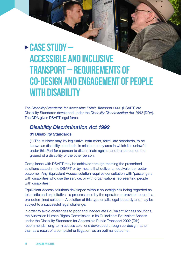# **Case Study – Accessible and Inclusive Transport – Requirements of co-design and engagement of people with disability**

The *Disability Standards for Accessible Public Transport 2002* (DSAPT) are Disability Standards developed under the *Disability Discrimination Act 1992* (DDA). The DDA gives DSAPT legal force.

## *Disability Discrimination Act 1992*

#### **31 Disability Standards**

(1) The Minister may, by legislative instrument, formulate standards, to be known as disability standards, in relation to any area in which it is unlawful under this Part for a person to discriminate against another person on the ground of a disability of the other person.

Compliance with DSAPT may be achieved through meeting the prescribed solutions stated in the DSAPT or by means that deliver an equivalent or better outcome. Any Equivalent Access solution requires consultation with 'passengers with disabilities who use the service, or with organisations representing people with disabilities'.

Equivalent Access solutions developed without co-design risk being regarded as tokenistic and exploitative—a process used by the operator or provider to reach a pre-determined solution. A solution of this type entails legal jeopardy and may be subject to a successful legal challenge.

In order to avoid challenges to poor and inadequate Equivalent Access solutions, the Australian Human Rights Commission in its Guidelines: Equivalent Access under the Disability Standards for Accessible Public Transport 2002 (Cth) recommends 'long-term access solutions developed through co-design rather than as a result of a complaint or litigation' as an optimal outcome.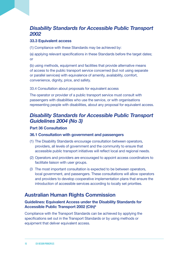# *Disability Standards for Accessible Public Transport 2002*

#### **33.3 Equivalent access**

(1) Compliance with these Standards may be achieved by:

(a) applying relevant specifications in these Standards before the target dates; or

(b) using methods, equipment and facilities that provide alternative means of access to the public transport service concerned (but not using separate or parallel services) with equivalence of amenity, availability, comfort, convenience, dignity, price, and safety.

33.4 Consultation about proposals for equivalent access

The operator or provider of a public transport service must consult with passengers with disabilities who use the service, or with organisations representing people with disabilities, about any proposal for equivalent access.

# *Disability Standards for Accessible Public Transport Guidelines 2004 (No 3)*

#### **Part 36 Consultation**

#### **36.1 Consultation with government and passengers**

- (1) The Disability Standards encourage consultation between operators, providers, all levels of government and the community to ensure that accessible public transport initiatives will reflect local and regional needs.
- (2) Operators and providers are encouraged to appoint access coordinators to facilitate liaison with user groups.
- (3 The most important consultation is expected to be between operators, local government, and passengers. These consultations will allow operators and providers to develop cooperative implementation plans that ensure the introduction of accessible services according to locally set priorities.

# **Australian Human Rights Commission**

#### **Guidelines: Equivalent Access under the Disability Standards for Accessible Public Transport 2002 (Cth)6**

Compliance with the Transport Standards can be achieved by applying the specifications set out in the Transport Standards or by using methods or equipment that deliver equivalent access.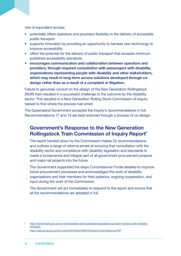Use of equivalent access:

- potentially offers operators and providers flexibility in the delivery of accessible public transport
- supports innovation by providing an opportunity to harness new technology to improve accessibility
- offers the potential for the delivery of public transport that exceeds minimum published accessibility standards
- **encourages communication and collaboration between operators and providers, through required consultation with passengers with disability, organisations representing people with disability and other stakeholders, which may result in long-term access solutions developed through codesign rather than as a result of a complaint or litigation.**

Failure to genuinely consult on the design of the New Generation Rollingstock (NGR) train resulted in a successful challenge to the outcome by the disability sector. This resulted in a Next Generation Rolling Stock Commission of Inquiry tasked to find where the process had erred.

The Queensland Government accepted the Inquiry's recommendations in full. Recommendations 17 and 19 are best actioned through a process of co-design.

# **Government's Response to the New Generation Rollingstock Train Commission of Inquiry Report7**

The report handed down by the Commission makes 24 recommendations and outlines a range of reforms aimed at ensuring that consultation with the disability sector and compliance with disability legislation and standards is made a fundamental and integral part of all government procurement projects and major rail projects into the future.

The Government supported the steps Commissioner Forde detailed to improve future procurement processes and acknowledged the work of disability organisations and their members for their patience, ongoing cooperation, and input during the work of the Commission.

The Government will act immediately to respond to the report and ensure that all the recommendations are adopted in full.

<sup>6</sup> [https://humanrights.gov.au/our-work/disability-rights/publications/guidelines-equivalent-access-under-disability](https://humanrights.gov.au/our-work/disability-rights/publications/guidelines-equivalent-access-under-disability-standards )[standards](https://humanrights.gov.au/our-work/disability-rights/publications/guidelines-equivalent-access-under-disability-standards ) 

<sup>7</sup> <https://cabinet.qld.gov.au/documents/2018/Dec/NGRCOI/Attachments/Response.PDF>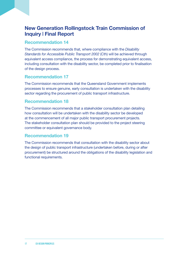# **New Generation Rollingstock Train Commission of Inquiry | Final Report**

## **Recommendation 14**

The Commission recommends that, where compliance with the *Disability Standards for Accessible Public Transport 2002* (Cth) will be achieved through equivalent access compliance, the process for demonstrating equivalent access, including consultation with the disability sector, be completed prior to finalisation of the design process.

## **Recommendation 17**

The Commission recommends that the Queensland Government implements processes to ensure genuine, early consultation is undertaken with the disability sector regarding the procurement of public transport infrastructure.

## **Recommendation 18**

The Commission recommends that a stakeholder consultation plan detailing how consultation will be undertaken with the disability sector be developed at the commencement of all major public transport procurement projects. The stakeholder consultation plan should be provided to the project steering committee or equivalent governance body.

## **Recommendation 19**

The Commission recommends that consultation with the disability sector about the design of public transport infrastructure (undertaken before, during or after procurement) be structured around the obligations of the disability legislation and functional requirements.